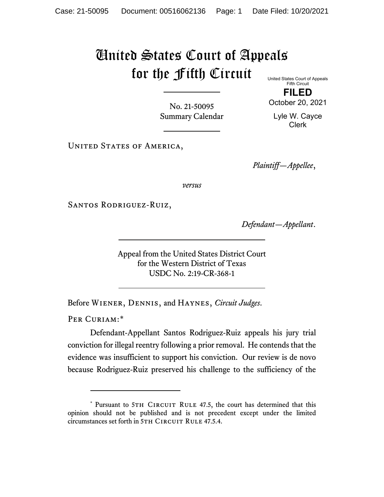## United States Court of Appeals for the Fifth Circuit

No. 21-50095 Summary Calendar United States Court of Appeals Fifth Circuit

**FILED** October 20, 2021

Lyle W. Cayce Clerk

UNITED STATES OF AMERICA,

*Plaintiff—Appellee*,

*versus*

Santos Rodriguez-Ruiz,

*Defendant—Appellant*.

Appeal from the United States District Court for the Western District of Texas USDC No. 2:19-CR-368-1

Before Wiener, Dennis, and Haynes, *Circuit Judges*.

PER CURIAM:[\\*](#page-0-0)

Defendant-Appellant Santos Rodriguez-Ruiz appeals his jury trial conviction for illegal reentry following a prior removal. He contends that the evidence was insufficient to support his conviction. Our review is de novo because Rodriguez-Ruiz preserved his challenge to the sufficiency of the

<span id="page-0-0"></span><sup>\*</sup> Pursuant to 5TH CIRCUIT RULE 47.5, the court has determined that this opinion should not be published and is not precedent except under the limited circumstances set forth in 5TH CIRCUIT RULE 47.5.4.